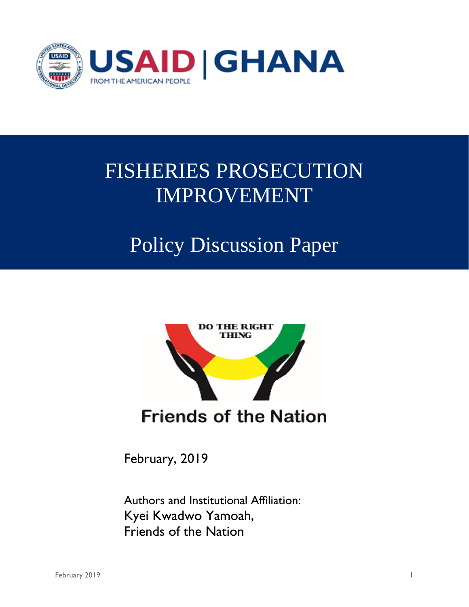

# FISHERIES PROSECUTION IMPROVEMENT

## Policy Discussion Paper



February, 2019

Authors and Institutional Affiliation: Kyei Kwadwo Yamoah, Friends of the Nation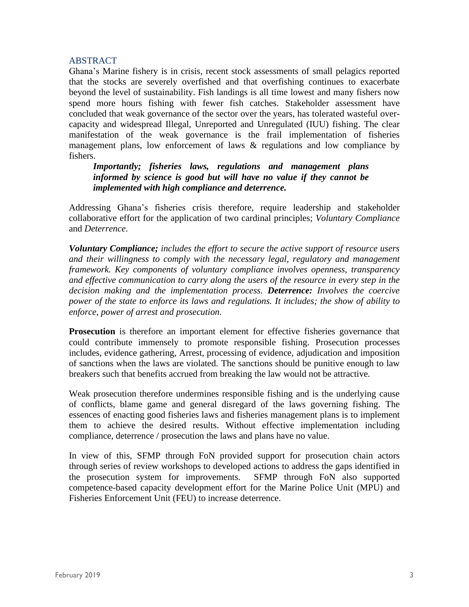## **ABSTRACT**

Ghana's Marine fishery is in crisis, recent stock assessments of small pelagics reported that the stocks are severely overfished and that overfishing continues to exacerbate beyond the level of sustainability. Fish landings is all time lowest and many fishers now spend more hours fishing with fewer fish catches. Stakeholder assessment have concluded that weak governance of the sector over the years, has tolerated wasteful overcapacity and widespread Illegal, Unreported and Unregulated (IUU) fishing. The clear manifestation of the weak governance is the frail implementation of fisheries management plans, low enforcement of laws & regulations and low compliance by fishers.

*Importantly; fisheries laws, regulations and management plans informed by science is good but will have no value if they cannot be implemented with high compliance and deterrence.*

Addressing Ghana's fisheries crisis therefore, require leadership and stakeholder collaborative effort for the application of two cardinal principles; *Voluntary Compliance* and *Deterrence*.

*Voluntary Compliance; includes the effort to secure the active support of resource users and their willingness to comply with the necessary legal, regulatory and management framework. Key components of voluntary compliance involves openness, transparency and effective communication to carry along the users of the resource in every step in the decision making and the implementation process. Deterrence: Involves the coercive power of the state to enforce its laws and regulations. It includes; the show of ability to enforce, power of arrest and prosecution.*

**Prosecution** is therefore an important element for effective fisheries governance that could contribute immensely to promote responsible fishing. Prosecution processes includes, evidence gathering, Arrest, processing of evidence, adjudication and imposition of sanctions when the laws are violated. The sanctions should be punitive enough to law breakers such that benefits accrued from breaking the law would not be attractive*.* 

Weak prosecution therefore undermines responsible fishing and is the underlying cause of conflicts, blame game and general disregard of the laws governing fishing. The essences of enacting good fisheries laws and fisheries management plans is to implement them to achieve the desired results. Without effective implementation including compliance, deterrence / prosecution the laws and plans have no value.

In view of this, SFMP through FoN provided support for prosecution chain actors through series of review workshops to developed actions to address the gaps identified in the prosecution system for improvements. SFMP through FoN also supported competence-based capacity development effort for the Marine Police Unit (MPU) and Fisheries Enforcement Unit (FEU) to increase deterrence.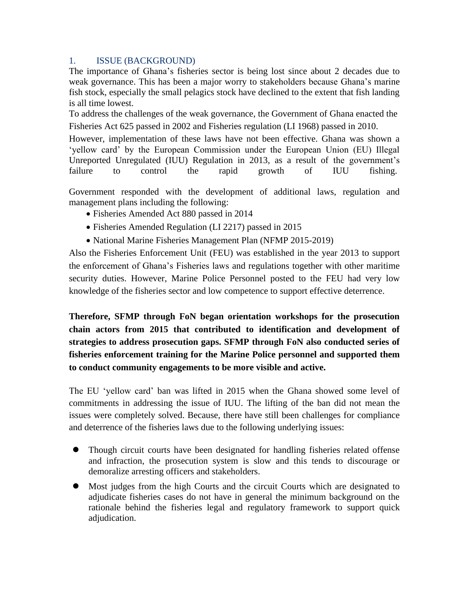## 1. ISSUE (BACKGROUND)

The importance of Ghana's fisheries sector is being lost since about 2 decades due to weak governance. This has been a major worry to stakeholders because Ghana's marine fish stock, especially the small pelagics stock have declined to the extent that fish landing is all time lowest.

To address the challenges of the weak governance, the Government of Ghana enacted the Fisheries Act 625 passed in 2002 and Fisheries regulation (LI 1968) passed in 2010.

However, implementation of these laws have not been effective. Ghana was shown a 'yellow card' by the European Commission under the European Union (EU) Illegal Unreported Unregulated (IUU) Regulation in 2013, as a result of the government's failure to control the rapid growth of IUU fishing.

Government responded with the development of additional laws, regulation and management plans including the following:

- Fisheries Amended Act 880 passed in 2014
- Fisheries Amended Regulation (LI 2217) passed in 2015
- National Marine Fisheries Management Plan (NFMP 2015-2019)

Also the Fisheries Enforcement Unit (FEU) was established in the year 2013 to support the enforcement of Ghana's Fisheries laws and regulations together with other maritime security duties. However, Marine Police Personnel posted to the FEU had very low knowledge of the fisheries sector and low competence to support effective deterrence.

**Therefore, SFMP through FoN began orientation workshops for the prosecution chain actors from 2015 that contributed to identification and development of strategies to address prosecution gaps. SFMP through FoN also conducted series of fisheries enforcement training for the Marine Police personnel and supported them to conduct community engagements to be more visible and active.**

The EU 'yellow card' ban was lifted in 2015 when the Ghana showed some level of commitments in addressing the issue of IUU. The lifting of the ban did not mean the issues were completely solved. Because, there have still been challenges for compliance and deterrence of the fisheries laws due to the following underlying issues:

- ⚫ Though circuit courts have been designated for handling fisheries related offense and infraction, the prosecution system is slow and this tends to discourage or demoralize arresting officers and stakeholders.
- ⚫ Most judges from the high Courts and the circuit Courts which are designated to adjudicate fisheries cases do not have in general the minimum background on the rationale behind the fisheries legal and regulatory framework to support quick adjudication.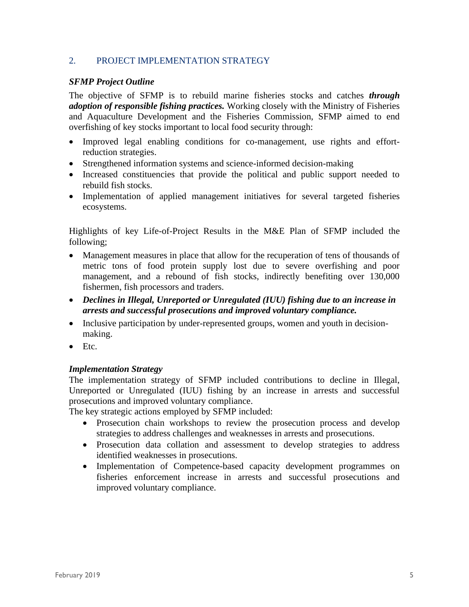## 2. PROJECT IMPLEMENTATION STRATEGY

## *SFMP Project Outline*

The objective of SFMP is to rebuild marine fisheries stocks and catches *through adoption of responsible fishing practices.* Working closely with the Ministry of Fisheries and Aquaculture Development and the Fisheries Commission, SFMP aimed to end overfishing of key stocks important to local food security through:

- Improved legal enabling conditions for co-management, use rights and effortreduction strategies.
- Strengthened information systems and science-informed decision-making
- Increased constituencies that provide the political and public support needed to rebuild fish stocks.
- Implementation of applied management initiatives for several targeted fisheries ecosystems.

Highlights of key Life-of-Project Results in the M&E Plan of SFMP included the following;

- Management measures in place that allow for the recuperation of tens of thousands of metric tons of food protein supply lost due to severe overfishing and poor management, and a rebound of fish stocks, indirectly benefiting over 130,000 fishermen, fish processors and traders.
- *Declines in Illegal, Unreported or Unregulated (IUU) fishing due to an increase in arrests and successful prosecutions and improved voluntary compliance.*
- Inclusive participation by under-represented groups, women and youth in decisionmaking.
- Etc.

#### *Implementation Strategy*

The implementation strategy of SFMP included contributions to decline in Illegal, Unreported or Unregulated (IUU) fishing by an increase in arrests and successful prosecutions and improved voluntary compliance.

The key strategic actions employed by SFMP included:

- Prosecution chain workshops to review the prosecution process and develop strategies to address challenges and weaknesses in arrests and prosecutions.
- Prosecution data collation and assessment to develop strategies to address identified weaknesses in prosecutions.
- Implementation of Competence-based capacity development programmes on fisheries enforcement increase in arrests and successful prosecutions and improved voluntary compliance.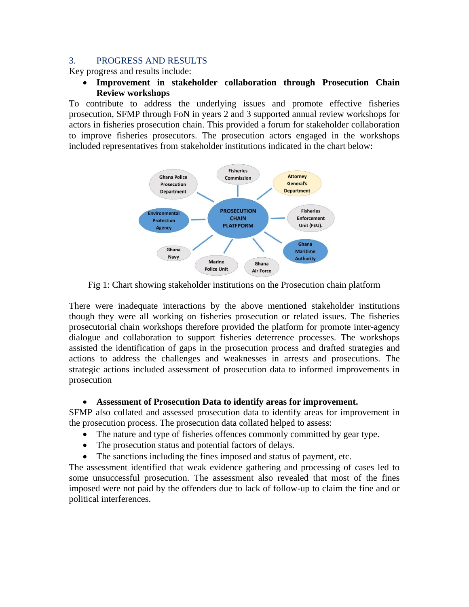#### 3. PROGRESS AND RESULTS

Key progress and results include:

• **Improvement in stakeholder collaboration through Prosecution Chain Review workshops**

To contribute to address the underlying issues and promote effective fisheries prosecution, SFMP through FoN in years 2 and 3 supported annual review workshops for actors in fisheries prosecution chain. This provided a forum for stakeholder collaboration to improve fisheries prosecutors. The prosecution actors engaged in the workshops included representatives from stakeholder institutions indicated in the chart below:



Fig 1: Chart showing stakeholder institutions on the Prosecution chain platform

There were inadequate interactions by the above mentioned stakeholder institutions though they were all working on fisheries prosecution or related issues. The fisheries prosecutorial chain workshops therefore provided the platform for promote inter-agency dialogue and collaboration to support fisheries deterrence processes. The workshops assisted the identification of gaps in the prosecution process and drafted strategies and actions to address the challenges and weaknesses in arrests and prosecutions. The strategic actions included assessment of prosecution data to informed improvements in prosecution

#### • **Assessment of Prosecution Data to identify areas for improvement.**

SFMP also collated and assessed prosecution data to identify areas for improvement in the prosecution process. The prosecution data collated helped to assess:

- The nature and type of fisheries offences commonly committed by gear type.
- The prosecution status and potential factors of delays.
- The sanctions including the fines imposed and status of payment, etc.

The assessment identified that weak evidence gathering and processing of cases led to some unsuccessful prosecution. The assessment also revealed that most of the fines imposed were not paid by the offenders due to lack of follow-up to claim the fine and or political interferences.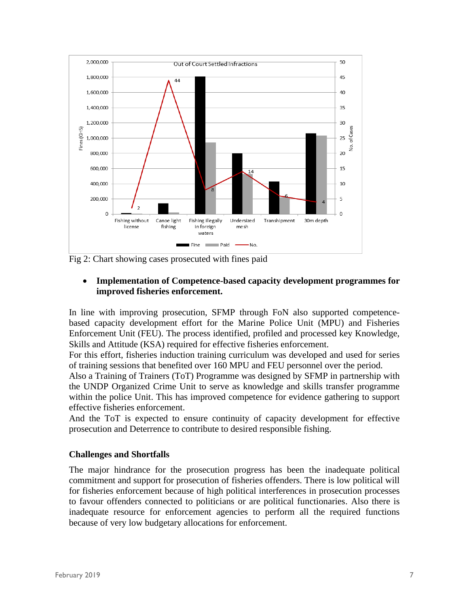

Fig 2: Chart showing cases prosecuted with fines paid

## • **Implementation of Competence-based capacity development programmes for improved fisheries enforcement.**

In line with improving prosecution, SFMP through FoN also supported competencebased capacity development effort for the Marine Police Unit (MPU) and Fisheries Enforcement Unit (FEU). The process identified, profiled and processed key Knowledge, Skills and Attitude (KSA) required for effective fisheries enforcement.

For this effort, fisheries induction training curriculum was developed and used for series of training sessions that benefited over 160 MPU and FEU personnel over the period.

Also a Training of Trainers (ToT) Programme was designed by SFMP in partnership with the UNDP Organized Crime Unit to serve as knowledge and skills transfer programme within the police Unit. This has improved competence for evidence gathering to support effective fisheries enforcement.

And the ToT is expected to ensure continuity of capacity development for effective prosecution and Deterrence to contribute to desired responsible fishing.

#### **Challenges and Shortfalls**

The major hindrance for the prosecution progress has been the inadequate political commitment and support for prosecution of fisheries offenders. There is low political will for fisheries enforcement because of high political interferences in prosecution processes to favour offenders connected to politicians or are political functionaries. Also there is inadequate resource for enforcement agencies to perform all the required functions because of very low budgetary allocations for enforcement.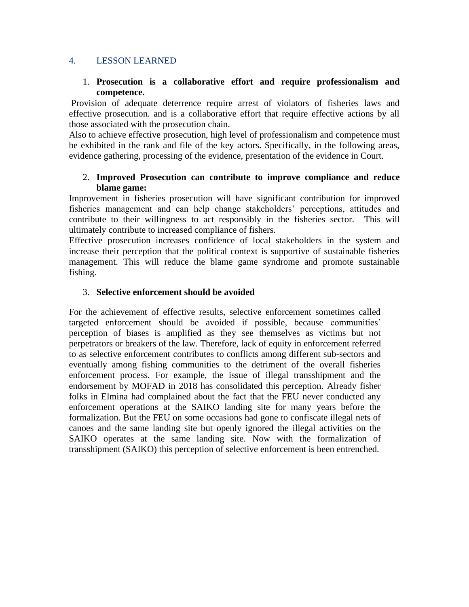## 4. LESSON LEARNED

## 1. **Prosecution is a collaborative effort and require professionalism and competence.**

Provision of adequate deterrence require arrest of violators of fisheries laws and effective prosecution. and is a collaborative effort that require effective actions by all those associated with the prosecution chain.

Also to achieve effective prosecution, high level of professionalism and competence must be exhibited in the rank and file of the key actors. Specifically, in the following areas, evidence gathering, processing of the evidence, presentation of the evidence in Court.

## 2. **Improved Prosecution can contribute to improve compliance and reduce blame game:**

Improvement in fisheries prosecution will have significant contribution for improved fisheries management and can help change stakeholders' perceptions, attitudes and contribute to their willingness to act responsibly in the fisheries sector. This will ultimately contribute to increased compliance of fishers.

Effective prosecution increases confidence of local stakeholders in the system and increase their perception that the political context is supportive of sustainable fisheries management. This will reduce the blame game syndrome and promote sustainable fishing.

## 3. **Selective enforcement should be avoided**

For the achievement of effective results, selective enforcement sometimes called targeted enforcement should be avoided if possible, because communities' perception of biases is amplified as they see themselves as victims but not perpetrators or breakers of the law. Therefore, lack of equity in enforcement referred to as selective enforcement contributes to conflicts among different sub-sectors and eventually among fishing communities to the detriment of the overall fisheries enforcement process. For example, the issue of illegal transshipment and the endorsement by MOFAD in 2018 has consolidated this perception. Already fisher folks in Elmina had complained about the fact that the FEU never conducted any enforcement operations at the SAIKO landing site for many years before the formalization. But the FEU on some occasions had gone to confiscate illegal nets of canoes and the same landing site but openly ignored the illegal activities on the SAIKO operates at the same landing site. Now with the formalization of transshipment (SAIKO) this perception of selective enforcement is been entrenched.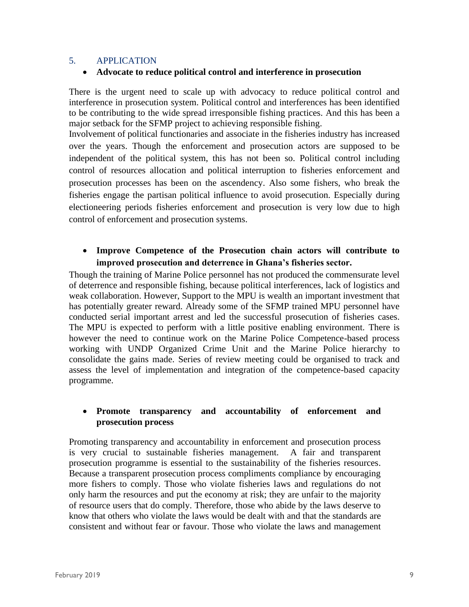## 5. APPLICATION

## • **Advocate to reduce political control and interference in prosecution**

There is the urgent need to scale up with advocacy to reduce political control and interference in prosecution system. Political control and interferences has been identified to be contributing to the wide spread irresponsible fishing practices. And this has been a major setback for the SFMP project to achieving responsible fishing.

Involvement of political functionaries and associate in the fisheries industry has increased over the years. Though the enforcement and prosecution actors are supposed to be independent of the political system, this has not been so. Political control including control of resources allocation and political interruption to fisheries enforcement and prosecution processes has been on the ascendency. Also some fishers, who break the fisheries engage the partisan political influence to avoid prosecution. Especially during electioneering periods fisheries enforcement and prosecution is very low due to high control of enforcement and prosecution systems.

## • **Improve Competence of the Prosecution chain actors will contribute to improved prosecution and deterrence in Ghana's fisheries sector.**

Though the training of Marine Police personnel has not produced the commensurate level of deterrence and responsible fishing, because political interferences, lack of logistics and weak collaboration. However, Support to the MPU is wealth an important investment that has potentially greater reward. Already some of the SFMP trained MPU personnel have conducted serial important arrest and led the successful prosecution of fisheries cases. The MPU is expected to perform with a little positive enabling environment. There is however the need to continue work on the Marine Police Competence-based process working with UNDP Organized Crime Unit and the Marine Police hierarchy to consolidate the gains made. Series of review meeting could be organised to track and assess the level of implementation and integration of the competence-based capacity programme.

## • **Promote transparency and accountability of enforcement and prosecution process**

Promoting transparency and accountability in enforcement and prosecution process is very crucial to sustainable fisheries management. A fair and transparent prosecution programme is essential to the sustainability of the fisheries resources. Because a transparent prosecution process compliments compliance by encouraging more fishers to comply. Those who violate fisheries laws and regulations do not only harm the resources and put the economy at risk; they are unfair to the majority of resource users that do comply. Therefore, those who abide by the laws deserve to know that others who violate the laws would be dealt with and that the standards are consistent and without fear or favour. Those who violate the laws and management